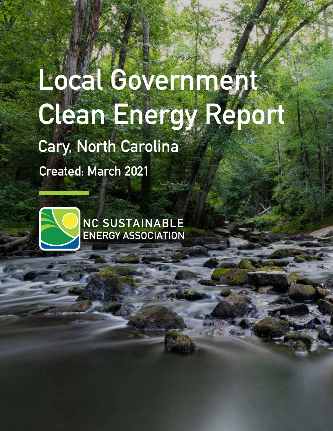# Local Governments **Clean Energy Report**

## **Cary, North Carolina**

**Created: March 2021**



**NC SUSTAINABLE ENERGY ASSOCIATION**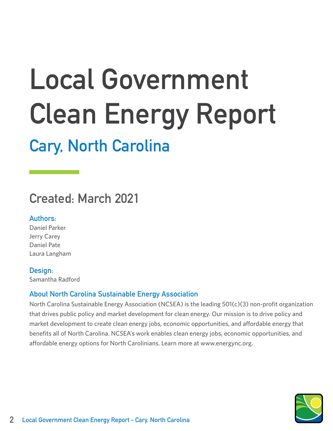## **Local Government Clean Energy Report**

## **Cary, North Carolina**

### **Created: March 2021**

#### **Authors:**

Daniel Parker Jerry Carey Daniel Pate Laura Langham

#### **Design:**

Samantha Radford

#### **About North Carolina Sustainable Energy Association**

North Carolina Sustainable Energy Association (NCSEA) is the leading 501(c)(3) non-profit organization that drives public policy and market development for clean energy. Our mission is to drive policy and market development to create clean energy jobs, economic opportunities, and affordable energy that benefits all of North Carolina. NCSEA's work enables clean energy jobs, economic opportunities, and affordable energy options for North Carolinians. Learn more at www.energync.org.

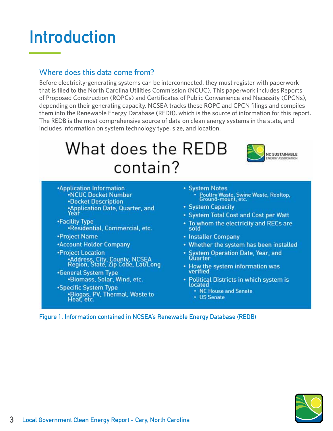## **Introduction**

#### Where does this data come from?

Before electricity-generating systems can be interconnected, they must register with paperwork that is filed to the North Carolina Utilities Commission (NCUC). This paperwork includes Reports of Proposed Construction (ROPCs) and Certificates of Public Convenience and Necessity (CPCNs), depending on their generating capacity. NCSEA tracks these ROPC and CPCN filings and compiles them into the Renewable Energy Database (REDB), which is the source of information for this report. The REDB is the most comprehensive source of data on clean energy systems in the state, and includes information on system technology type, size, and location.

## What does the REDB contain?



- **\*Application Information .NCUC Docket Number •Docket Description** •Application Date, Quarter, and<br>Year
- •Facility Type ·Residential, Commercial, etc.
- •Project Name
- \*Account Holder Company
- **•Project Location** .<br>• Address, City, County, NCSEA<br>Region, State, Zip Code, Lat/Long
- •General System Type .Biomass, Solar, Wind, etc.
- \*Specific System Type .Biogas, PV, Thermal, Waste to Heat, etc.
- System Notes Poultry Waste, Swine Waste, Rooftop,
- System Capacity
- System Total Cost and Cost per Watt
- . To whom the electricity and RECs are sold
- Installer Company
- Whether the system has been installed
- System Operation Date, Year, and Quarter
- How the system information was verified
- Political Districts in which system is located
	- NC House and Senate
	- US Senate

**Figure 1. Information contained in NCSEA's Renewable Energy Database (REDB)**

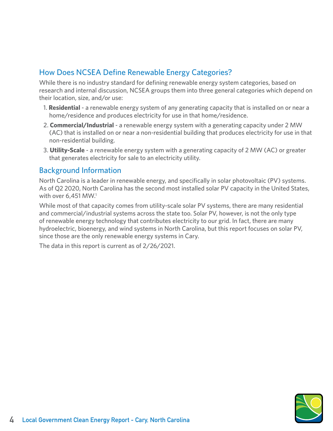#### How Does NCSEA Define Renewable Energy Categories?

While there is no industry standard for defining renewable energy system categories, based on research and internal discussion, NCSEA groups them into three general categories which depend on their location, size, and/or use:

- 1. **Residential** a renewable energy system of any generating capacity that is installed on or near a home/residence and produces electricity for use in that home/residence.
- 2. **Commercial/Industrial** a renewable energy system with a generating capacity under 2 MW (AC) that is installed on or near a non-residential building that produces electricity for use in that non-residential building.
- 3. **Utility-Scale** a renewable energy system with a generating capacity of 2 MW (AC) or greater that generates electricity for sale to an electricity utility.

#### Background Information

North Carolina is a leader in renewable energy, and specifically in solar photovoltaic (PV) systems. As of Q2 2020, North Carolina has the second most installed solar PV capacity in the United States, with over 6,451 MW.<sup>1</sup>

While most of that capacity comes from utility-scale solar PV systems, there are many residential and commercial/industrial systems across the state too. Solar PV, however, is not the only type of renewable energy technology that contributes electricity to our grid. In fact, there are many hydroelectric, bioenergy, and wind systems in North Carolina, but this report focuses on solar PV, since those are the only renewable energy systems in Cary.

The data in this report is current as of 2/26/2021.

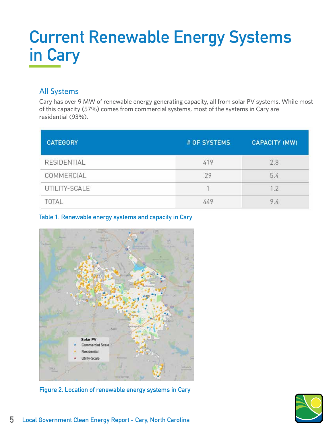## **Current Renewable Energy Systems in Cary**

#### All Systems

Cary has over 9 MW of renewable energy generating capacity, all from solar PV systems. While most of this capacity (57%) comes from commercial systems, most of the systems in Cary are residential (93%).

| <b>CATEGORY</b> | # OF SYSTEMS | <b>CAPACITY (MW)</b> |
|-----------------|--------------|----------------------|
| RESIDENTIAL     | 419          | 2.8                  |
| COMMERCIAL      | 29           | 5.4                  |
| UTILITY-SCALE   |              | 1.2                  |
| TOTAL           | 449          | 9.4                  |

#### **Table 1. Renewable energy systems and capacity in Cary**



**Figure 2. Location of renewable energy systems in Cary**

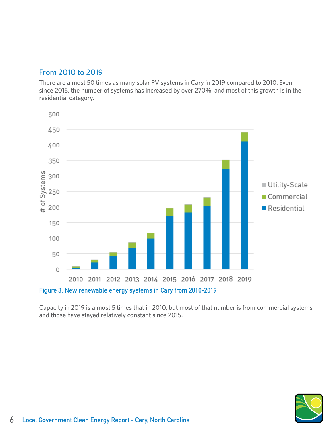#### From 2010 to 2019

There are almost 50 times as many solar PV systems in Cary in 2019 compared to 2010. Even since 2015, the number of systems has increased by over 270%, and most of this growth is in the residential category.



Capacity in 2019 is almost 5 times that in 2010, but most of that number is from commercial systems and those have stayed relatively constant since 2015.

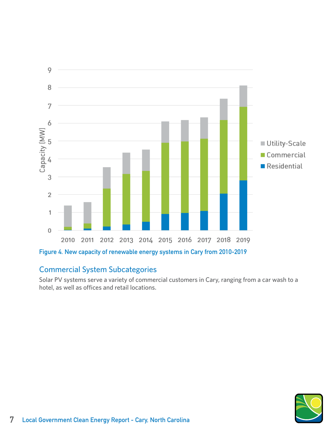

#### Commercial System Subcategories

Solar PV systems serve a variety of commercial customers in Cary, ranging from a car wash to a hotel, as well as offices and retail locations.

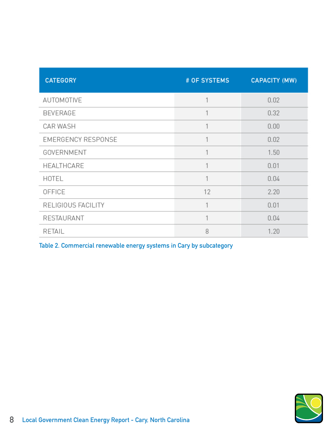| <b>CATEGORY</b>           | # OF SYSTEMS | <b>CAPACITY (MW)</b> |
|---------------------------|--------------|----------------------|
| AUTOMOTIVE                | 1            | 0.02                 |
| <b>BEVERAGE</b>           | 1            | 0.32                 |
| CAR WASH                  | 1            | 0.00                 |
| <b>EMERGENCY RESPONSE</b> | 1            | 0.02                 |
| GOVERNMENT                | 1            | 1.50                 |
| <b>HEALTHCARE</b>         | 1            | 0.01                 |
| HOTEL                     | 1            | 0.04                 |
| OFFICE                    | 12           | 2.20                 |
| RELIGIOUS FACILITY        | 1            | 0.01                 |
| RESTAURANT                | 1            | 0.04                 |
| RETAIL                    | 8            | 1.20                 |

**Table 2. Commercial renewable energy systems in Cary by subcategory**

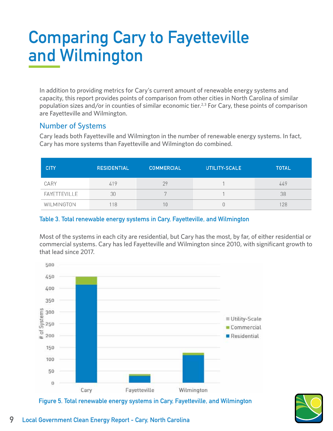## **Comparing Cary to Fayetteville and Wilmington**

In addition to providing metrics for Cary's current amount of renewable energy systems and capacity, this report provides points of comparison from other cities in North Carolina of similar population sizes and/or in counties of similar economic tier.<sup>2,3</sup> For Cary, these points of comparison are Fayetteville and Wilmington.

#### Number of Systems

Cary leads both Fayetteville and Wilmington in the number of renewable energy systems. In fact, Cary has more systems than Fayetteville and Wilmington do combined.

| <b>CITY</b>  | <b>RESIDENTIAL</b> | <b>COMMERCIAL</b> | UTILITY-SCALE | <b>TOTAL</b> |
|--------------|--------------------|-------------------|---------------|--------------|
| CARY         | 419                | 29                |               | 449          |
| FAYETTEVILLE | 30                 |                   |               | 38           |
| WILMINGTON   | 18                 | 10                |               | 28           |

#### **Table 3. Total renewable energy systems in Cary, Fayetteville, and Wilmington**

Most of the systems in each city are residential, but Cary has the most, by far, of either residential or commercial systems. Cary has led Fayetteville and Wilmington since 2010, with significant growth to that lead since 2017.



**Figure 5. Total renewable energy systems in Cary, Fayetteville, and Wilmington**

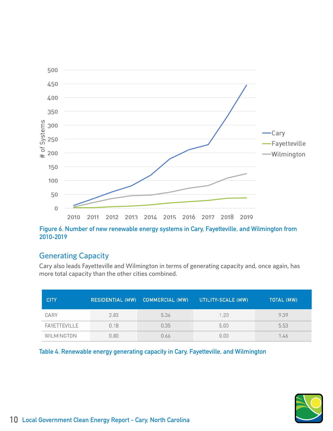

**Figure 6. Number of new renewable energy systems in Cary, Fayetteville, and Wilmington from 2010-2019**

#### Generating Capacity

Cary also leads Fayetteville and Wilmington in terms of generating capacity and, once again, has more total capacity than the other cities combined.

| <b>CITY</b>  | <b>RESIDENTIAL (MW)</b> | <b>COMMERCIAL (MW)</b> | UTILITY-SCALE (MW) | TOTAL (MW) |
|--------------|-------------------------|------------------------|--------------------|------------|
| CARY         | 2.83                    | 5.36                   | 1.20               | 9.39       |
| FAYETTEVILLE | 0.18                    | 0.35                   | 5.00               | 5.53       |
| WILMINGTON   | 1.80                    | 1.66                   | 0.00               |            |

**Table 4. Renewable energy generating capacity in Cary, Fayetteville, and Wilmington**

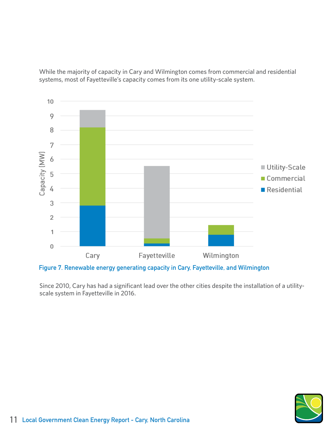While the majority of capacity in Cary and Wilmington comes from commercial and residential systems, most of Fayetteville's capacity comes from its one utility-scale system.



**Figure 7. Renewable energy generating capacity in Cary, Fayetteville, and Wilmington**

Since 2010, Cary has had a significant lead over the other cities despite the installation of a utilityscale system in Fayetteville in 2016.

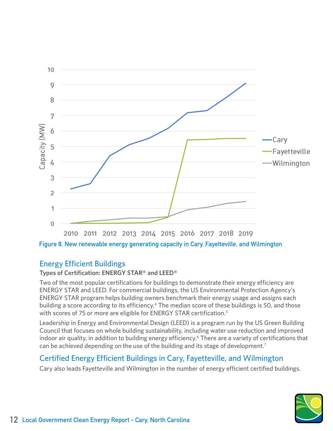

**Figure 8. New renewable energy generating capacity in Cary, Fayetteville, and Wilmington**

#### Energy Efficient Buildings

#### **Types of Certification: ENERGY STAR® and LEED®**

Two of the most popular certifications for buildings to demonstrate their energy efficiency are ENERGY STAR and LEED. For commercial buildings, the US Environmental Protection Agency's ENERGY STAR program helps building owners benchmark their energy usage and assigns each building a score according to its efficiency.<sup>4</sup> The median score of these buildings is 50, and those with scores of 75 or more are eligible for ENERGY STAR certification.<sup>5</sup>

Leadership in Energy and Environmental Design (LEED) is a program run by the US Green Building Council that focuses on whole building sustainability, including water use reduction and improved indoor air quality, in addition to building energy efficiency.<sup>6</sup> There are a variety of certifications that can be achieved depending on the use of the building and its stage of development.<sup>7</sup>

#### Certified Energy Efficient Buildings in Cary, Fayetteville, and Wilmington

Cary also leads Fayetteville and Wilmington in the number of energy efficient certified buildings.

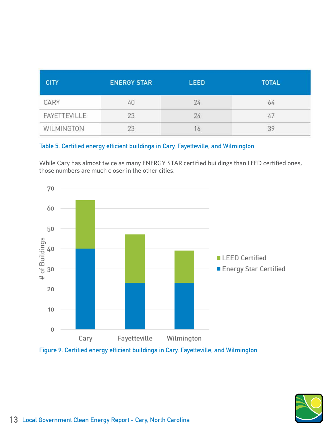| <b>CITY</b>         | <b>ENERGY STAR</b> | <b>LEED</b> | <b>TOTAL</b> |
|---------------------|--------------------|-------------|--------------|
| CARY                | 40                 | 24          | 64           |
| <b>FAYETTEVILLE</b> | 23                 | 24          |              |
| WILMINGTON          |                    |             |              |

#### **Table 5. Certified energy efficient buildings in Cary, Fayetteville, and Wilmington**

While Cary has almost twice as many ENERGY STAR certified buildings than LEED certified ones, those numbers are much closer in the other cities.



**Figure 9. Certified energy efficient buildings in Cary, Fayetteville, and Wilmington**

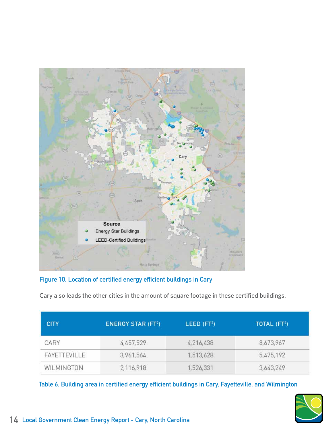

**Figure 10. Location of certified energy efficient buildings in Cary**

Cary also leads the other cities in the amount of square footage in these certified buildings.

| <b>CITY</b>                | <b>ENERGY STAR (FT2)</b> | LEED (FT <sup>2</sup> ) | TOTAL (FT <sup>2</sup> ) |
|----------------------------|--------------------------|-------------------------|--------------------------|
| CARY                       | 4,457,529                | 4,216,438               | 8,673,967                |
| <b><i>FAYETTEVILLE</i></b> | 3,961,564                | 1,513,628               | 5,475,192                |
| WILMINGTON                 | 2,116,918                | 1,526,331               | 3,643,249                |

**Table 6. Building area in certified energy efficient buildings in Cary, Fayetteville, and Wilmington**

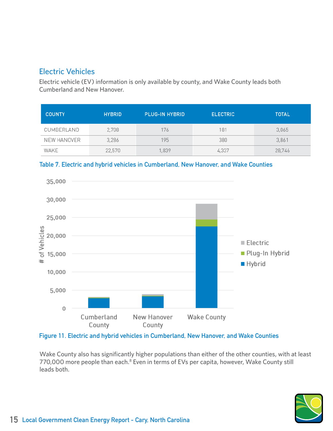#### Electric Vehicles

Electric vehicle (EV) information is only available by county, and Wake County leads both Cumberland and New Hanover.

| <b>COUNTY</b> | <b>HYBRID</b> | <b>PLUG-IN HYBRID</b> | <b>ELECTRIC</b> | <b>TOTAL</b> |
|---------------|---------------|-----------------------|-----------------|--------------|
| CUMBERLAND    | 2,708         | 176                   | 181             | 3,065        |
| NEW HANOVER   | 3,286         | 195                   | 380             | 3,861        |
| WAKE          | 22,570        | 1,839                 | 4,337           | 28,746       |





**Figure 11. Electric and hybrid vehicles in Cumberland, New Hanover, and Wake Counties**

Wake County also has significantly higher populations than either of the other counties, with at least 770,000 more people than each.<sup>8</sup> Even in terms of EVs per capita, however, Wake County still leads both.

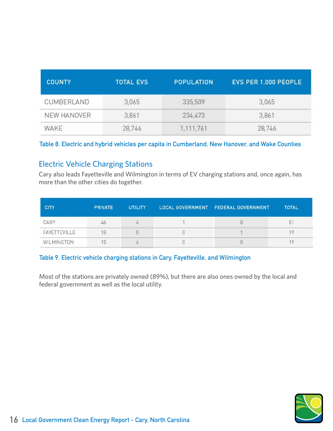| <b>COUNTY</b> | <b>TOTAL EVS</b> | POPULATION | EVS PER 1,000 PEOPLE |
|---------------|------------------|------------|----------------------|
| CUMBERLAND    | 3,065            | 335,509    | 3,065                |
| NEW HANOVER   | 3,861            | 234,473    | 3,861                |
| WAKE          | 28,746           | 1,111,761  | 28,746               |

#### **Table 8. Electric and hybrid vehicles per capita in Cumberland, New Hanover, and Wake Counties**

#### Electric Vehicle Charging Stations

Cary also leads Fayetteville and Wilmington in terms of EV charging stations and, once again, has more than the other cities do together.

| <b>CITY</b>                | <b>PRIVATE</b> | <b>UTILITY</b> | LOCAL GOVERNMENT FEDERAL GOVERNMENT | <b>TOTAL</b> |
|----------------------------|----------------|----------------|-------------------------------------|--------------|
| CARY                       | 46             | Æ              |                                     | 5            |
| <b><i>FAYETTEVILLE</i></b> | 18             |                |                                     |              |
| WILMINGTON                 |                |                |                                     |              |

#### **Table 9. Electric vehicle charging stations in Cary, Fayetteville, and Wilmington**

Most of the stations are privately owned (89%), but there are also ones owned by the local and federal government as well as the local utility.

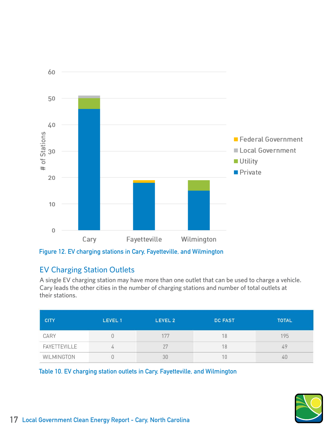

**Figure 12. EV charging stations in Cary, Fayetteville, and Wilmington**

#### EV Charging Station Outlets

A single EV charging station may have more than one outlet that can be used to charge a vehicle. Cary leads the other cities in the number of charging stations and number of total outlets at their stations.

| <b>CITY</b>                | LEVEL 1 | LEVEL 2 | <b>DC FAST</b> | <b>TOTAL</b> |
|----------------------------|---------|---------|----------------|--------------|
| CARY                       |         |         | 18             | 195          |
| <b><i>FAYETTEVILLE</i></b> | 4       |         | 18             | 49           |
| WILMINGTON                 |         |         |                |              |

**Table 10. EV charging station outlets in Cary, Fayetteville, and Wilmington**

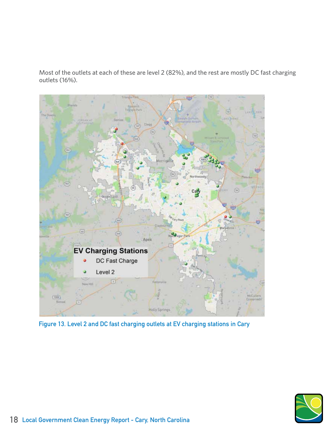Most of the outlets at each of these are level 2 (82%), and the rest are mostly DC fast charging outlets (16%).



**Figure 13. Level 2 and DC fast charging outlets at EV charging stations in Cary**

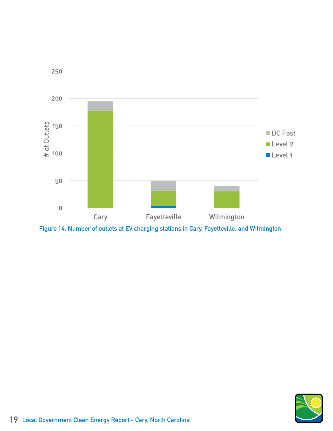

**Figure 14. Number of outlets at EV charging stations in Cary, Fayetteville, and Wilmington**